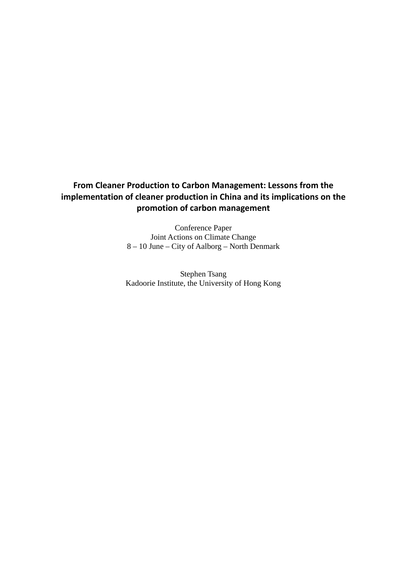# **From Cleaner Production to Carbon Management: Lessons from the implementation of cleaner production in China and its implications on the promotion of carbon management**

Conference Paper Joint Actions on Climate Change 8 – 10 June – City of Aalborg – North Denmark

Stephen Tsang Kadoorie Institute, the University of Hong Kong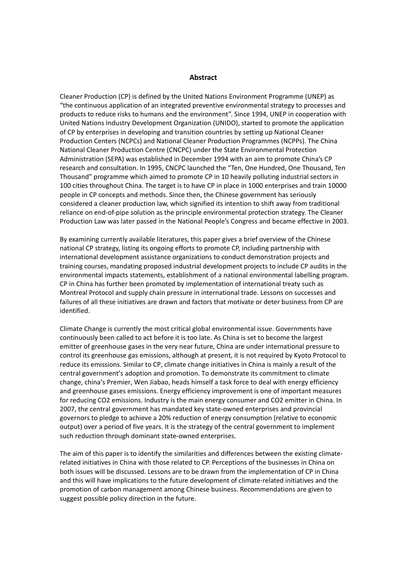#### **Abstract**

Cleaner Production (CP) is defined by the United Nations Environment Programme (UNEP) as "the continuous application of an integrated preventive environmental strategy to processes and products to reduce risks to humans and the environment". Since 1994, UNEP in cooperation with United Nations Industry Development Organization (UNIDO), started to promote the application of CP by enterprises in developing and transition countries by setting up National Cleaner Production Centers (NCPCs) and National Cleaner Production Programmes (NCPPs). The China National Cleaner Production Centre (CNCPC) under the State Environmental Protection Administration (SEPA) was established in December 1994 with an aim to promote China's CP research and consultation. In 1995, CNCPC launched the "Ten, One Hundred, One Thousand, Ten Thousand" programme which aimed to promote CP in 10 heavily polluting industrial sectors in 100 cities throughout China. The target is to have CP in place in 1000 enterprises and train 10000 people in CP concepts and methods. Since then, the Chinese government has seriously considered a cleaner production law, which signified its intention to shift away from traditional reliance on end‐of‐pipe solution as the principle environmental protection strategy. The Cleaner Production Law was later passed in the National People's Congress and became effective in 2003.

By examining currently available literatures, this paper gives a brief overview of the Chinese national CP strategy, listing its ongoing efforts to promote CP, including partnership with international development assistance organizations to conduct demonstration projects and training courses, mandating proposed industrial development projects to include CP audits in the environmental impacts statements, establishment of a national environmental labelling program. CP in China has further been promoted by implementation of international treaty such as Montreal Protocol and supply chain pressure in international trade. Lessons on successes and failures of all these initiatives are drawn and factors that motivate or deter business from CP are identified.

Climate Change is currently the most critical global environmental issue. Governments have continuously been called to act before it is too late. As China is set to become the largest emitter of greenhouse gases in the very near future, China are under international pressure to control its greenhouse gas emissions, although at present, it is not required by Kyoto Protocol to reduce its emissions. Similar to CP, climate change initiatives in China is mainly a result of the central government's adoption and promotion. To demonstrate its commitment to climate change, china's Premier, Wen Jiabao, heads himself a task force to deal with energy efficiency and greenhouse gases emissions. Energy efficiency improvement is one of important measures for reducing CO2 emissions. Industry is the main energy consumer and CO2 emitter in China. In 2007, the central government has mandated key state‐owned enterprises and provincial governors to pledge to achieve a 20% reduction of energy consumption (relative to economic output) over a period of five years. It is the strategy of the central government to implement such reduction through dominant state‐owned enterprises.

The aim of this paper is to identify the similarities and differences between the existing climaterelated initiatives in China with those related to CP. Perceptions of the businesses in China on both issues will be discussed. Lessons are to be drawn from the implementation of CP in China and this will have implications to the future development of climate‐related initiatives and the promotion of carbon management among Chinese business. Recommendations are given to suggest possible policy direction in the future.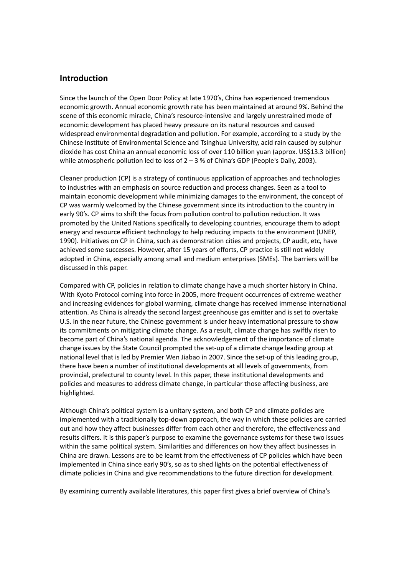# **Introduction**

Since the launch of the Open Door Policy at late 1970's, China has experienced tremendous economic growth. Annual economic growth rate has been maintained at around 9%. Behind the scene of this economic miracle, China's resource-intensive and largely unrestrained mode of economic development has placed heavy pressure on its natural resources and caused widespread environmental degradation and pollution. For example, according to a study by the Chinese Institute of Environmental Science and Tsinghua University, acid rain caused by sulphur dioxide has cost China an annual economic loss of over 110 billion yuan (approx. US\$13.3 billion) while atmospheric pollution led to loss of  $2 - 3$  % of China's GDP (People's Daily, 2003).

Cleaner production (CP) is a strategy of continuous application of approaches and technologies to industries with an emphasis on source reduction and process changes. Seen as a tool to maintain economic development while minimizing damages to the environment, the concept of CP was warmly welcomed by the Chinese government since its introduction to the country in early 90's. CP aims to shift the focus from pollution control to pollution reduction. It was promoted by the United Nations specifically to developing countries, encourage them to adopt energy and resource efficient technology to help reducing impacts to the environment (UNEP, 1990). Initiatives on CP in China, such as demonstration cities and projects, CP audit, etc, have achieved some successes. However, after 15 years of efforts, CP practice is still not widely adopted in China, especially among small and medium enterprises (SMEs). The barriers will be discussed in this paper.

Compared with CP, policies in relation to climate change have a much shorter history in China. With Kyoto Protocol coming into force in 2005, more frequent occurrences of extreme weather and increasing evidences for global warming, climate change has received immense international attention. As China is already the second largest greenhouse gas emitter and is set to overtake U.S. in the near future, the Chinese government is under heavy international pressure to show its commitments on mitigating climate change. As a result, climate change has swiftly risen to become part of China's national agenda. The acknowledgement of the importance of climate change issues by the State Council prompted the set-up of a climate change leading group at national level that is led by Premier Wen Jiabao in 2007. Since the set-up of this leading group, there have been a number of institutional developments at all levels of governments, from provincial, prefectural to county level. In this paper, these institutional developments and policies and measures to address climate change, in particular those affecting business, are highlighted.

Although China's political system is a unitary system, and both CP and climate policies are implemented with a traditionally top‐down approach, the way in which these policies are carried out and how they affect businesses differ from each other and therefore, the effectiveness and results differs. It is this paper's purpose to examine the governance systems for these two issues within the same political system. Similarities and differences on how they affect businesses in China are drawn. Lessons are to be learnt from the effectiveness of CP policies which have been implemented in China since early 90's, so as to shed lights on the potential effectiveness of climate policies in China and give recommendations to the future direction for development.

By examining currently available literatures, this paper first gives a brief overview of China's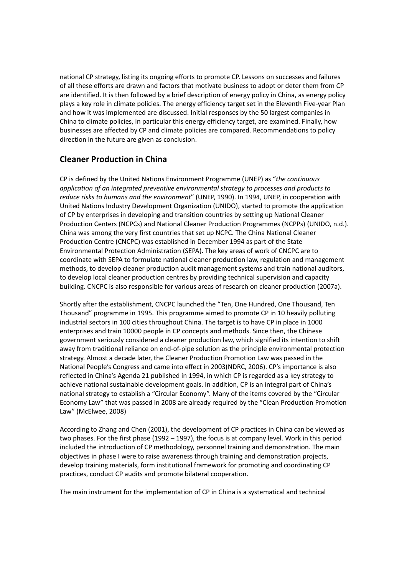national CP strategy, listing its ongoing efforts to promote CP. Lessons on successes and failures of all these efforts are drawn and factors that motivate business to adopt or deter them from CP are identified. It is then followed by a brief description of energy policy in China, as energy policy plays a key role in climate policies. The energy efficiency target set in the Eleventh Five‐year Plan and how it was implemented are discussed. Initial responses by the 50 largest companies in China to climate policies, in particular this energy efficiency target, are examined. Finally, how businesses are affected by CP and climate policies are compared. Recommendations to policy direction in the future are given as conclusion.

# **Cleaner Production in China**

CP is defined by the United Nations Environment Programme (UNEP) as "*the continuous application of an integrated preventive environmental strategy to processes and products to reduce risks to humans and the environment*" (UNEP, 1990). In 1994, UNEP, in cooperation with United Nations Industry Development Organization (UNIDO), started to promote the application of CP by enterprises in developing and transition countries by setting up National Cleaner Production Centers (NCPCs) and National Cleaner Production Programmes (NCPPs) (UNIDO, n.d.). China was among the very first countries that set up NCPC. The China National Cleaner Production Centre (CNCPC) was established in December 1994 as part of the State Environmental Protection Administration (SEPA). The key areas of work of CNCPC are to coordinate with SEPA to formulate national cleaner production law, regulation and management methods, to develop cleaner production audit management systems and train national auditors, to develop local cleaner production centres by providing technical supervision and capacity building. CNCPC is also responsible for various areas of research on cleaner production (2007a).

Shortly after the establishment, CNCPC launched the "Ten, One Hundred, One Thousand, Ten Thousand" programme in 1995. This programme aimed to promote CP in 10 heavily polluting industrial sectors in 100 cities throughout China. The target is to have CP in place in 1000 enterprises and train 10000 people in CP concepts and methods. Since then, the Chinese government seriously considered a cleaner production law, which signified its intention to shift away from traditional reliance on end‐of‐pipe solution as the principle environmental protection strategy. Almost a decade later, the Cleaner Production Promotion Law was passed in the National People's Congress and came into effect in 2003(NDRC, 2006). CP's importance is also reflected in China's Agenda 21 published in 1994, in which CP is regarded as a key strategy to achieve national sustainable development goals. In addition, CP is an integral part of China's national strategy to establish a "Circular Economy". Many of the items covered by the "Circular Economy Law" that was passed in 2008 are already required by the "Clean Production Promotion Law" (McElwee, 2008)

According to Zhang and Chen (2001), the development of CP practices in China can be viewed as two phases. For the first phase (1992 – 1997), the focus is at company level. Work in this period included the introduction of CP methodology, personnel training and demonstration. The main objectives in phase I were to raise awareness through training and demonstration projects, develop training materials, form institutional framework for promoting and coordinating CP practices, conduct CP audits and promote bilateral cooperation.

The main instrument for the implementation of CP in China is a systematical and technical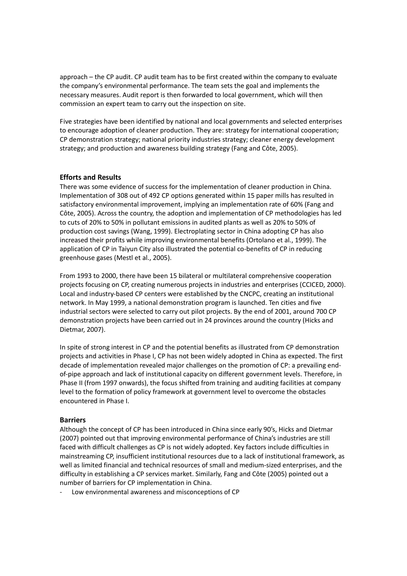approach – the CP audit. CP audit team has to be first created within the company to evaluate the company's environmental performance. The team sets the goal and implements the necessary measures. Audit report is then forwarded to local government, which will then commission an expert team to carry out the inspection on site.

Five strategies have been identified by national and local governments and selected enterprises to encourage adoption of cleaner production. They are: strategy for international cooperation; CP demonstration strategy; national priority industries strategy; cleaner energy development strategy; and production and awareness building strategy (Fang and Côte, 2005).

### **Efforts and Results**

There was some evidence of success for the implementation of cleaner production in China. Implementation of 308 out of 492 CP options generated within 15 paper mills has resulted in satisfactory environmental improvement, implying an implementation rate of 60% (Fang and Côte, 2005). Across the country, the adoption and implementation of CP methodologies has led to cuts of 20% to 50% in pollutant emissions in audited plants as well as 20% to 50% of production cost savings (Wang, 1999). Electroplating sector in China adopting CP has also increased their profits while improving environmental benefits (Ortolano et al., 1999). The application of CP in Taiyun City also illustrated the potential co-benefits of CP in reducing greenhouse gases (Mestl et al., 2005).

From 1993 to 2000, there have been 15 bilateral or multilateral comprehensive cooperation projects focusing on CP, creating numerous projects in industries and enterprises (CCICED, 2000). Local and industry‐based CP centers were established by the CNCPC, creating an institutional network. In May 1999, a national demonstration program is launched. Ten cities and five industrial sectors were selected to carry out pilot projects. By the end of 2001, around 700 CP demonstration projects have been carried out in 24 provinces around the country (Hicks and Dietmar, 2007).

In spite of strong interest in CP and the potential benefits as illustrated from CP demonstration projects and activities in Phase I, CP has not been widely adopted in China as expected. The first decade of implementation revealed major challenges on the promotion of CP: a prevailing end‐ of-pipe approach and lack of institutional capacity on different government levels. Therefore, in Phase II (from 1997 onwards), the focus shifted from training and auditing facilities at company level to the formation of policy framework at government level to overcome the obstacles encountered in Phase I.

### **Barriers**

Although the concept of CP has been introduced in China since early 90's, Hicks and Dietmar (2007) pointed out that improving environmental performance of China's industries are still faced with difficult challenges as CP is not widely adopted. Key factors include difficulties in mainstreaming CP, insufficient institutional resources due to a lack of institutional framework, as well as limited financial and technical resources of small and medium‐sized enterprises, and the difficulty in establishing a CP services market. Similarly, Fang and Côte (2005) pointed out a number of barriers for CP implementation in China.

‐ Low environmental awareness and misconceptions of CP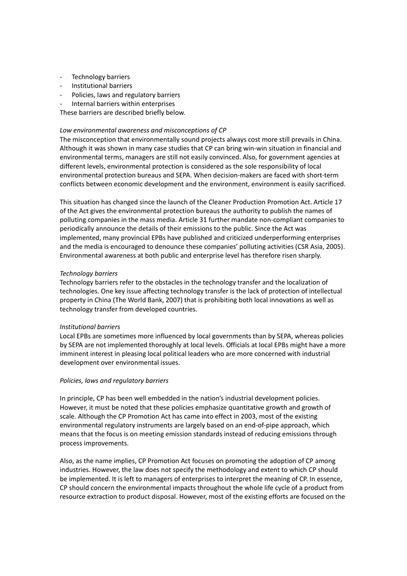- ‐ Technology barriers
- ‐ Institutional barriers
- ‐ Policies, laws and regulatory barriers
- ‐ Internal barriers within enterprises

These barriers are described briefly below.

### *Low environmental awareness and misconceptions of CP*

The misconception that environmentally sound projects always cost more still prevails in China. Although it was shown in many case studies that CP can bring win‐win situation in financial and environmental terms, managers are still not easily convinced. Also, for government agencies at different levels, environmental protection is considered as the sole responsibility of local environmental protection bureaus and SEPA. When decision‐makers are faced with short‐term conflicts between economic development and the environment, environment is easily sacrificed.

This situation has changed since the launch of the Cleaner Production Promotion Act. Article 17 of the Act gives the environmental protection bureaus the authority to publish the names of polluting companies in the mass media. Article 31 further mandate non‐compliant companies to periodically announce the details of their emissions to the public. Since the Act was implemented, many provincial EPBs have published and criticized underperforming enterprises and the media is encouraged to denounce these companies' polluting activities (CSR Asia, 2005). Environmental awareness at both public and enterprise level has therefore risen sharply.

### *Technology barriers*

Technology barriers refer to the obstacles in the technology transfer and the localization of technologies. One key issue affecting technology transfer is the lack of protection of intellectual property in China (The World Bank, 2007) that is prohibiting both local innovations as well as technology transfer from developed countries.

### *Institutional barriers*

Local EPBs are sometimes more influenced by local governments than by SEPA, whereas policies by SEPA are not implemented thoroughly at local levels. Officials at local EPBs might have a more imminent interest in pleasing local political leaders who are more concerned with industrial development over environmental issues.

### *Policies, laws and regulatory barriers*

In principle, CP has been well embedded in the nation's industrial development policies. However, it must be noted that these policies emphasize quantitative growth and growth of scale. Although the CP Promotion Act has came into effect in 2003, most of the existing environmental regulatory instruments are largely based on an end‐of‐pipe approach, which means that the focus is on meeting emission standards instead of reducing emissions through process improvements.

Also, as the name implies, CP Promotion Act focuses on promoting the adoption of CP among industries. However, the law does not specify the methodology and extent to which CP should be implemented. It is left to managers of enterprises to interpret the meaning of CP. In essence, CP should concern the environmental impacts throughout the whole life cycle of a product from resource extraction to product disposal. However, most of the existing efforts are focused on the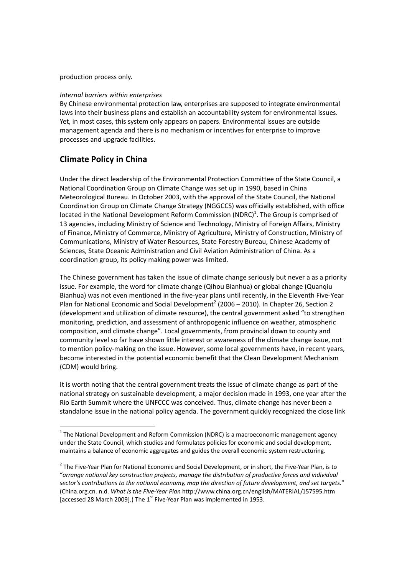### production process only.

### *Internal barriers within enterprises*

By Chinese environmental protection law, enterprises are supposed to integrate environmental laws into their business plans and establish an accountability system for environmental issues. Yet, in most cases, this system only appears on papers. Environmental issues are outside management agenda and there is no mechanism or incentives for enterprise to improve processes and upgrade facilities.

# **Climate Policy in China**

Under the direct leadership of the Environmental Protection Committee of the State Council, a National Coordination Group on Climate Change was set up in 1990, based in China Meteorological Bureau. In October 2003, with the approval of the State Council, the National Coordination Group on Climate Change Strategy (NGGCCS) was officially established, with office located in the National Development Reform Commission (NDRC)<sup>1</sup>. The Group is comprised of 13 agencies, including Ministry of Science and Technology, Ministry of Foreign Affairs, Ministry of Finance, Ministry of Commerce, Ministry of Agriculture, Ministry of Construction, Ministry of Communications, Ministry of Water Resources, State Forestry Bureau, Chinese Academy of Sciences, State Oceanic Administration and Civil Aviation Administration of China. As a coordination group, its policy making power was limited.

The Chinese government has taken the issue of climate change seriously but never a as a priority issue. For example, the word for climate change (Qihou Bianhua) or global change (Quanqiu Bianhua) was not even mentioned in the five‐year plans until recently, in the Eleventh Five‐Year Plan for National Economic and Social Development<sup>2</sup> (2006 – 2010). In Chapter 26, Section 2 (development and utilization of climate resource), the central government asked "to strengthen monitoring, prediction, and assessment of anthropogenic influence on weather, atmospheric composition, and climate change". Local governments, from provincial down to county and community level so far have shown little interest or awareness of the climate change issue, not to mention policy-making on the issue. However, some local governments have, in recent years, become interested in the potential economic benefit that the Clean Development Mechanism (CDM) would bring.

It is worth noting that the central government treats the issue of climate change as part of the national strategy on sustainable development, a major decision made in 1993, one year after the Rio Earth Summit where the UNFCCC was conceived. Thus, climate change has never been a standalone issue in the national policy agenda. The government quickly recognized the close link

 $1$  The National Development and Reform Commission (NDRC) is a macroeconomic management agency under the State Council, which studies and formulates policies for economic and social development, maintains a balance of economic aggregates and guides the overall economic system restructuring.

<sup>&</sup>lt;sup>2</sup> The Five-Year Plan for National Economic and Social Development, or in short, the Five-Year Plan, is to "*arrange national key construction projects, manage the distribution of productive forces and individual sector's contributions to the national economy, map the direction of future development, and set targets.*" (China.org.cn. n.d. *What Is the Five‐Year Plan* http://www.china.org.cn/english/MATERIAL/157595.htm [accessed 28 March 2009].) The  $1<sup>st</sup>$  Five-Year Plan was implemented in 1953.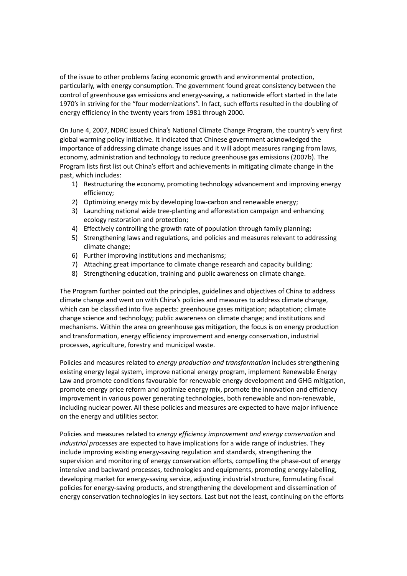of the issue to other problems facing economic growth and environmental protection, particularly, with energy consumption. The government found great consistency between the control of greenhouse gas emissions and energy-saving, a nationwide effort started in the late 1970's in striving for the "four modernizations". In fact, such efforts resulted in the doubling of energy efficiency in the twenty years from 1981 through 2000.

On June 4, 2007, NDRC issued China's National Climate Change Program, the country's very first global warming policy initiative. It indicated that Chinese government acknowledged the importance of addressing climate change issues and it will adopt measures ranging from laws, economy, administration and technology to reduce greenhouse gas emissions (2007b). The Program lists first list out China's effort and achievements in mitigating climate change in the past, which includes:

- 1) Restructuring the economy, promoting technology advancement and improving energy efficiency;
- 2) Optimizing energy mix by developing low-carbon and renewable energy;
- 3) Launching national wide tree‐planting and afforestation campaign and enhancing ecology restoration and protection;
- 4) Effectively controlling the growth rate of population through family planning;
- 5) Strengthening laws and regulations, and policies and measures relevant to addressing climate change;
- 6) Further improving institutions and mechanisms;
- 7) Attaching great importance to climate change research and capacity building;
- 8) Strengthening education, training and public awareness on climate change.

The Program further pointed out the principles, guidelines and objectives of China to address climate change and went on with China's policies and measures to address climate change, which can be classified into five aspects: greenhouse gases mitigation; adaptation; climate change science and technology; public awareness on climate change; and institutions and mechanisms. Within the area on greenhouse gas mitigation, the focus is on energy production and transformation, energy efficiency improvement and energy conservation, industrial processes, agriculture, forestry and municipal waste.

Policies and measures related to *energy production and transformation* includes strengthening existing energy legal system, improve national energy program, implement Renewable Energy Law and promote conditions favourable for renewable energy development and GHG mitigation, promote energy price reform and optimize energy mix, promote the innovation and efficiency improvement in various power generating technologies, both renewable and non-renewable, including nuclear power. All these policies and measures are expected to have major influence on the energy and utilities sector.

Policies and measures related to *energy efficiency improvement and energy conservation* and *industrial processes* are expected to have implications for a wide range of industries. They include improving existing energy‐saving regulation and standards, strengthening the supervision and monitoring of energy conservation efforts, compelling the phase-out of energy intensive and backward processes, technologies and equipments, promoting energy-labelling, developing market for energy‐saving service, adjusting industrial structure, formulating fiscal policies for energy‐saving products, and strengthening the development and dissemination of energy conservation technologies in key sectors. Last but not the least, continuing on the efforts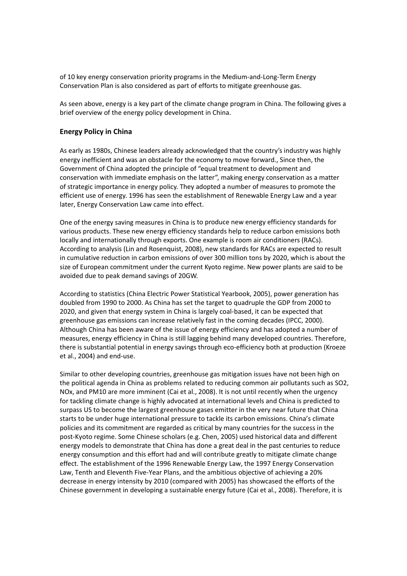of 10 key energy conservation priority programs in the Medium‐and‐Long‐Term Energy Conservation Plan is also considered as part of efforts to mitigate greenhouse gas.

As seen above, energy is a key part of the climate change program in China. The following gives a brief overview of the energy policy development in China.

### **Energy Policy in China**

As early as 1980s, Chinese leaders already acknowledged that the country's industry was highly energy inefficient and was an obstacle for the economy to move forward., Since then, the Government of China adopted the principle of "equal treatment to development and conservation with immediate emphasis on the latter", making energy conservation as a matter of strategic importance in energy policy. They adopted a number of measures to promote the efficient use of energy. 1996 has seen the establishment of Renewable Energy Law and a year later, Energy Conservation Law came into effect.

One of the energy saving measures in China is to produce new energy efficiency standards for various products. These new energy efficiency standards help to reduce carbon emissions both locally and internationally through exports. One example is room air conditioners (RACs). According to analysis (Lin and Rosenquist, 2008), new standards for RACs are expected to result in cumulative reduction in carbon emissions of over 300 million tons by 2020, which is about the size of European commitment under the current Kyoto regime. New power plants are said to be avoided due to peak demand savings of 20GW.

According to statistics (China Electric Power Statistical Yearbook, 2005), power generation has doubled from 1990 to 2000. As China has set the target to quadruple the GDP from 2000 to 2020, and given that energy system in China is largely coal‐based, it can be expected that greenhouse gas emissions can increase relatively fast in the coming decades (IPCC, 2000). Although China has been aware of the issue of energy efficiency and has adopted a number of measures, energy efficiency in China is still lagging behind many developed countries. Therefore, there is substantial potential in energy savings through eco-efficiency both at production (Kroeze et al., 2004) and end‐use.

Similar to other developing countries, greenhouse gas mitigation issues have not been high on the political agenda in China as problems related to reducing common air pollutants such as SO2, NOx, and PM10 are more imminent (Cai et al., 2008). It is not until recently when the urgency for tackling climate change is highly advocated at international levels and China is predicted to surpass US to become the largest greenhouse gases emitter in the very near future that China starts to be under huge international pressure to tackle its carbon emissions. China's climate policies and its commitment are regarded as critical by many countries for the success in the post‐Kyoto regime. Some Chinese scholars (e.g. Chen, 2005) used historical data and different energy models to demonstrate that China has done a great deal in the past centuries to reduce energy consumption and this effort had and will contribute greatly to mitigate climate change effect. The establishment of the 1996 Renewable Energy Law, the 1997 Energy Conservation Law, Tenth and Eleventh Five‐Year Plans, and the ambitious objective of achieving a 20% decrease in energy intensity by 2010 (compared with 2005) has showcased the efforts of the Chinese government in developing a sustainable energy future (Cai et al., 2008). Therefore, it is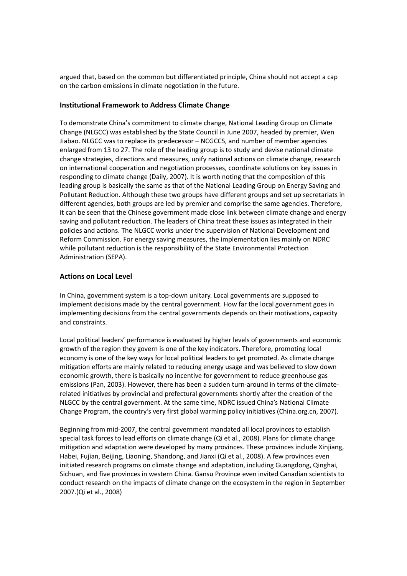argued that, based on the common but differentiated principle, China should not accept a cap on the carbon emissions in climate negotiation in the future.

## **Institutional Framework to Address Climate Change**

To demonstrate China's commitment to climate change, National Leading Group on Climate Change (NLGCC) was established by the State Council in June 2007, headed by premier, Wen Jiabao. NLGCC was to replace its predecessor – NCGCCS, and number of member agencies enlarged from 13 to 27. The role of the leading group is to study and devise national climate change strategies, directions and measures, unify national actions on climate change, research on international cooperation and negotiation processes, coordinate solutions on key issues in responding to climate change (Daily, 2007). It is worth noting that the composition of this leading group is basically the same as that of the National Leading Group on Energy Saving and Pollutant Reduction. Although these two groups have different groups and set up secretariats in different agencies, both groups are led by premier and comprise the same agencies. Therefore, it can be seen that the Chinese government made close link between climate change and energy saving and pollutant reduction. The leaders of China treat these issues as integrated in their policies and actions. The NLGCC works under the supervision of National Development and Reform Commission. For energy saving measures, the implementation lies mainly on NDRC while pollutant reduction is the responsibility of the State Environmental Protection Administration (SEPA).

# **Actions on Local Level**

In China, government system is a top-down unitary. Local governments are supposed to implement decisions made by the central government. How far the local government goes in implementing decisions from the central governments depends on their motivations, capacity and constraints.

Local political leaders' performance is evaluated by higher levels of governments and economic growth of the region they govern is one of the key indicators. Therefore, promoting local economy is one of the key ways for local political leaders to get promoted. As climate change mitigation efforts are mainly related to reducing energy usage and was believed to slow down economic growth, there is basically no incentive for government to reduce greenhouse gas emissions (Pan, 2003). However, there has been a sudden turn-around in terms of the climaterelated initiatives by provincial and prefectural governments shortly after the creation of the NLGCC by the central government. At the same time, NDRC issued China's National Climate Change Program, the country's very first global warming policy initiatives (China.org.cn, 2007).

Beginning from mid‐2007, the central government mandated all local provinces to establish special task forces to lead efforts on climate change (Qi et al., 2008). Plans for climate change mitigation and adaptation were developed by many provinces. These provinces include Xinjiang, Habei, Fujian, Beijing, Liaoning, Shandong, and Jianxi (Qi et al., 2008). A few provinces even initiated research programs on climate change and adaptation, including Guangdong, Qinghai, Sichuan, and five provinces in western China. Gansu Province even invited Canadian scientists to conduct research on the impacts of climate change on the ecosystem in the region in September 2007.(Qi et al., 2008)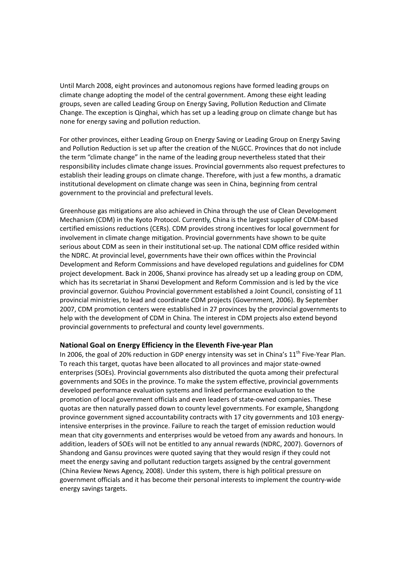Until March 2008, eight provinces and autonomous regions have formed leading groups on climate change adopting the model of the central government. Among these eight leading groups, seven are called Leading Group on Energy Saving, Pollution Reduction and Climate Change. The exception is Qinghai, which has set up a leading group on climate change but has none for energy saving and pollution reduction.

For other provinces, either Leading Group on Energy Saving or Leading Group on Energy Saving and Pollution Reduction is set up after the creation of the NLGCC. Provinces that do not include the term "climate change" in the name of the leading group nevertheless stated that their responsibility includes climate change issues. Provincial governments also request prefectures to establish their leading groups on climate change. Therefore, with just a few months, a dramatic institutional development on climate change was seen in China, beginning from central government to the provincial and prefectural levels.

Greenhouse gas mitigations are also achieved in China through the use of Clean Development Mechanism (CDM) in the Kyoto Protocol. Currently, China is the largest supplier of CDM‐based certified emissions reductions (CERs). CDM provides strong incentives for local government for involvement in climate change mitigation. Provincial governments have shown to be quite serious about CDM as seen in their institutional set-up. The national CDM office resided within the NDRC. At provincial level, governments have their own offices within the Provincial Development and Reform Commissions and have developed regulations and guidelines for CDM project development. Back in 2006, Shanxi province has already set up a leading group on CDM, which has its secretariat in Shanxi Development and Reform Commission and is led by the vice provincial governor. Guizhou Provincial government established a Joint Council, consisting of 11 provincial ministries, to lead and coordinate CDM projects (Government, 2006). By September 2007, CDM promotion centers were established in 27 provinces by the provincial governments to help with the development of CDM in China. The interest in CDM projects also extend beyond provincial governments to prefectural and county level governments.

### **National Goal on Energy Efficiency in the Eleventh Five‐year Plan**

In 2006, the goal of 20% reduction in GDP energy intensity was set in China's  $11<sup>th</sup>$  Five-Year Plan. To reach this target, quotas have been allocated to all provinces and major state‐owned enterprises (SOEs). Provincial governments also distributed the quota among their prefectural governments and SOEs in the province. To make the system effective, provincial governments developed performance evaluation systems and linked performance evaluation to the promotion of local government officials and even leaders of state-owned companies. These quotas are then naturally passed down to county level governments. For example, Shangdong province government signed accountability contracts with 17 city governments and 103 energyintensive enterprises in the province. Failure to reach the target of emission reduction would mean that city governments and enterprises would be vetoed from any awards and honours. In addition, leaders of SOEs will not be entitled to any annual rewards (NDRC, 2007). Governors of Shandong and Gansu provinces were quoted saying that they would resign if they could not meet the energy saving and pollutant reduction targets assigned by the central government (China Review News Agency, 2008). Under this system, there is high political pressure on government officials and it has become their personal interests to implement the country‐wide energy savings targets.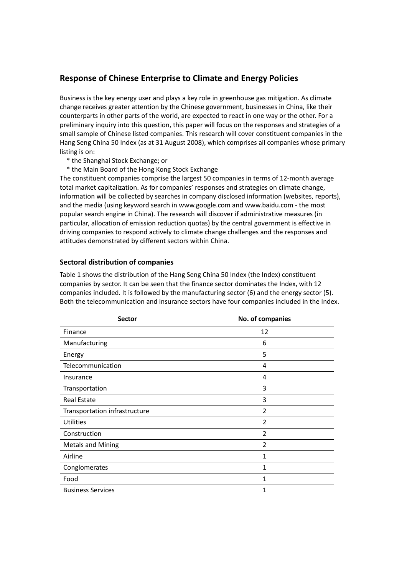# **Response of Chinese Enterprise to Climate and Energy Policies**

Business is the key energy user and plays a key role in greenhouse gas mitigation. As climate change receives greater attention by the Chinese government, businesses in China, like their counterparts in other parts of the world, are expected to react in one way or the other. For a preliminary inquiry into this question, this paper will focus on the responses and strategies of a small sample of Chinese listed companies. This research will cover constituent companies in the Hang Seng China 50 Index (as at 31 August 2008), which comprises all companies whose primary listing is on:

- \* the Shanghai Stock Exchange; or
- \* the Main Board of the Hong Kong Stock Exchange

The constituent companies comprise the largest 50 companies in terms of 12‐month average total market capitalization. As for companies' responses and strategies on climate change, information will be collected by searches in company disclosed information (websites, reports), and the media (using keyword search in www.google.com and www.baidu.com ‐ the most popular search engine in China). The research will discover if administrative measures (in particular, allocation of emission reduction quotas) by the central government is effective in driving companies to respond actively to climate change challenges and the responses and attitudes demonstrated by different sectors within China.

### **Sectoral distribution of companies**

Table 1 shows the distribution of the Hang Seng China 50 Index (the Index) constituent companies by sector. It can be seen that the finance sector dominates the Index, with 12 companies included. It is followed by the manufacturing sector (6) and the energy sector (5). Both the telecommunication and insurance sectors have four companies included in the Index.

| <b>Sector</b>                 | No. of companies |
|-------------------------------|------------------|
| Finance                       | 12               |
| Manufacturing                 | 6                |
| Energy                        | 5                |
| Telecommunication             | 4                |
| Insurance                     | 4                |
| Transportation                | 3                |
| <b>Real Estate</b>            | 3                |
| Transportation infrastructure | $\overline{2}$   |
| <b>Utilities</b>              | $\overline{2}$   |
| Construction                  | $\overline{2}$   |
| <b>Metals and Mining</b>      | 2                |
| Airline                       | 1                |
| Conglomerates                 | 1                |
| Food                          | 1                |
| <b>Business Services</b>      | 1                |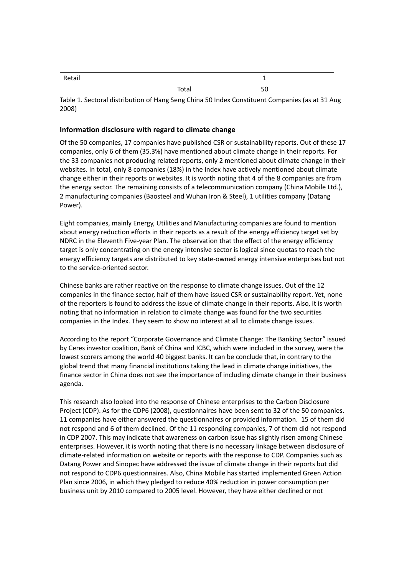| Retail | -        |
|--------|----------|
| Total  | cΩ<br>υc |

Table 1. Sectoral distribution of Hang Seng China 50 Index Constituent Companies (as at 31 Aug 2008)

## **Information disclosure with regard to climate change**

Of the 50 companies, 17 companies have published CSR or sustainability reports. Out of these 17 companies, only 6 of them (35.3%) have mentioned about climate change in their reports. For the 33 companies not producing related reports, only 2 mentioned about climate change in their websites. In total, only 8 companies (18%) in the Index have actively mentioned about climate change either in their reports or websites. It is worth noting that 4 of the 8 companies are from the energy sector. The remaining consists of a telecommunication company (China Mobile Ltd.), 2 manufacturing companies (Baosteel and Wuhan Iron & Steel), 1 utilities company (Datang Power).

Eight companies, mainly Energy, Utilities and Manufacturing companies are found to mention about energy reduction efforts in their reports as a result of the energy efficiency target set by NDRC in the Eleventh Five-year Plan. The observation that the effect of the energy efficiency target is only concentrating on the energy intensive sector is logical since quotas to reach the energy efficiency targets are distributed to key state‐owned energy intensive enterprises but not to the service‐oriented sector.

Chinese banks are rather reactive on the response to climate change issues. Out of the 12 companies in the finance sector, half of them have issued CSR or sustainability report. Yet, none of the reporters is found to address the issue of climate change in their reports. Also, it is worth noting that no information in relation to climate change was found for the two securities companies in the Index. They seem to show no interest at all to climate change issues.

According to the report "Corporate Governance and Climate Change: The Banking Sector" issued by Ceres investor coalition, Bank of China and ICBC, which were included in the survey, were the lowest scorers among the world 40 biggest banks. It can be conclude that, in contrary to the global trend that many financial institutions taking the lead in climate change initiatives, the finance sector in China does not see the importance of including climate change in their business agenda.

This research also looked into the response of Chinese enterprises to the Carbon Disclosure Project (CDP). As for the CDP6 (2008), questionnaires have been sent to 32 of the 50 companies. 11 companies have either answered the questionnaires or provided information. 15 of them did not respond and 6 of them declined. Of the 11 responding companies, 7 of them did not respond in CDP 2007. This may indicate that awareness on carbon issue has slightly risen among Chinese enterprises. However, it is worth noting that there is no necessary linkage between disclosure of climate-related information on website or reports with the response to CDP. Companies such as Datang Power and Sinopec have addressed the issue of climate change in their reports but did not respond to CDP6 questionnaires. Also, China Mobile has started implemented Green Action Plan since 2006, in which they pledged to reduce 40% reduction in power consumption per business unit by 2010 compared to 2005 level. However, they have either declined or not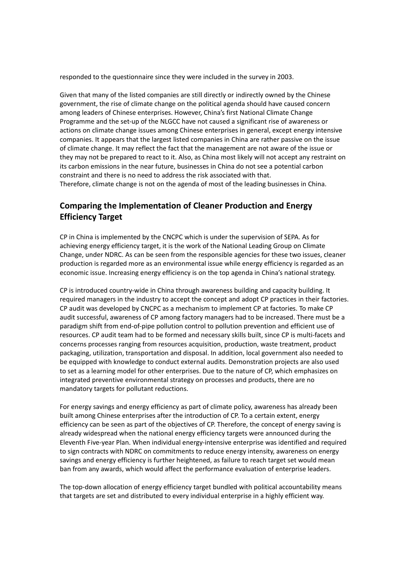responded to the questionnaire since they were included in the survey in 2003.

Given that many of the listed companies are still directly or indirectly owned by the Chinese government, the rise of climate change on the political agenda should have caused concern among leaders of Chinese enterprises. However, China's first National Climate Change Programme and the set-up of the NLGCC have not caused a significant rise of awareness or actions on climate change issues among Chinese enterprises in general, except energy intensive companies. It appears that the largest listed companies in China are rather passive on the issue of climate change. It may reflect the fact that the management are not aware of the issue or they may not be prepared to react to it. Also, as China most likely will not accept any restraint on its carbon emissions in the near future, businesses in China do not see a potential carbon constraint and there is no need to address the risk associated with that. Therefore, climate change is not on the agenda of most of the leading businesses in China.

# **Comparing the Implementation of Cleaner Production and Energy Efficiency Target**

CP in China is implemented by the CNCPC which is under the supervision of SEPA. As for achieving energy efficiency target, it is the work of the National Leading Group on Climate Change, under NDRC. As can be seen from the responsible agencies for these two issues, cleaner production is regarded more as an environmental issue while energy efficiency is regarded as an economic issue. Increasing energy efficiency is on the top agenda in China's national strategy.

CP is introduced country‐wide in China through awareness building and capacity building. It required managers in the industry to accept the concept and adopt CP practices in their factories. CP audit was developed by CNCPC as a mechanism to implement CP at factories. To make CP audit successful, awareness of CP among factory managers had to be increased. There must be a paradigm shift from end‐of‐pipe pollution control to pollution prevention and efficient use of resources. CP audit team had to be formed and necessary skills built, since CP is multi‐facets and concerns processes ranging from resources acquisition, production, waste treatment, product packaging, utilization, transportation and disposal. In addition, local government also needed to be equipped with knowledge to conduct external audits. Demonstration projects are also used to set as a learning model for other enterprises. Due to the nature of CP, which emphasizes on integrated preventive environmental strategy on processes and products, there are no mandatory targets for pollutant reductions.

For energy savings and energy efficiency as part of climate policy, awareness has already been built among Chinese enterprises after the introduction of CP. To a certain extent, energy efficiency can be seen as part of the objectives of CP. Therefore, the concept of energy saving is already widespread when the national energy efficiency targets were announced during the Eleventh Five‐year Plan. When individual energy‐intensive enterprise was identified and required to sign contracts with NDRC on commitments to reduce energy intensity, awareness on energy savings and energy efficiency is further heightened, as failure to reach target set would mean ban from any awards, which would affect the performance evaluation of enterprise leaders.

The top-down allocation of energy efficiency target bundled with political accountability means that targets are set and distributed to every individual enterprise in a highly efficient way.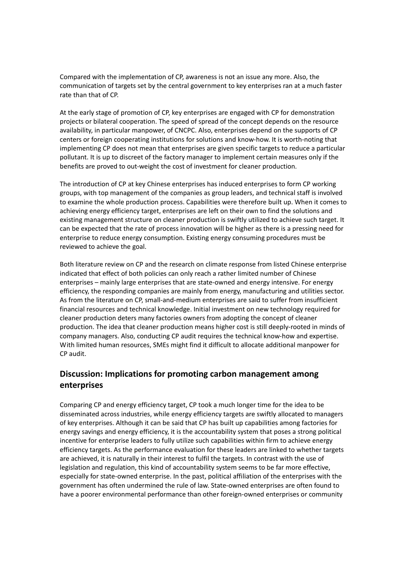Compared with the implementation of CP, awareness is not an issue any more. Also, the communication of targets set by the central government to key enterprises ran at a much faster rate than that of CP.

At the early stage of promotion of CP, key enterprises are engaged with CP for demonstration projects or bilateral cooperation. The speed of spread of the concept depends on the resource availability, in particular manpower, of CNCPC. Also, enterprises depend on the supports of CP centers or foreign cooperating institutions for solutions and know‐how. It is worth‐noting that implementing CP does not mean that enterprises are given specific targets to reduce a particular pollutant. It is up to discreet of the factory manager to implement certain measures only if the benefits are proved to out‐weight the cost of investment for cleaner production.

The introduction of CP at key Chinese enterprises has induced enterprises to form CP working groups, with top management of the companies as group leaders, and technical staff is involved to examine the whole production process. Capabilities were therefore built up. When it comes to achieving energy efficiency target, enterprises are left on their own to find the solutions and existing management structure on cleaner production is swiftly utilized to achieve such target. It can be expected that the rate of process innovation will be higher as there is a pressing need for enterprise to reduce energy consumption. Existing energy consuming procedures must be reviewed to achieve the goal.

Both literature review on CP and the research on climate response from listed Chinese enterprise indicated that effect of both policies can only reach a rather limited number of Chinese enterprises – mainly large enterprises that are state‐owned and energy intensive. For energy efficiency, the responding companies are mainly from energy, manufacturing and utilities sector. As from the literature on CP, small‐and‐medium enterprises are said to suffer from insufficient financial resources and technical knowledge. Initial investment on new technology required for cleaner production deters many factories owners from adopting the concept of cleaner production. The idea that cleaner production means higher cost is still deeply‐rooted in minds of company managers. Also, conducting CP audit requires the technical know‐how and expertise. With limited human resources, SMEs might find it difficult to allocate additional manpower for CP audit.

# **Discussion: Implications for promoting carbon management among enterprises**

Comparing CP and energy efficiency target, CP took a much longer time for the idea to be disseminated across industries, while energy efficiency targets are swiftly allocated to managers of key enterprises. Although it can be said that CP has built up capabilities among factories for energy savings and energy efficiency, it is the accountability system that poses a strong political incentive for enterprise leaders to fully utilize such capabilities within firm to achieve energy efficiency targets. As the performance evaluation for these leaders are linked to whether targets are achieved, it is naturally in their interest to fulfil the targets. In contrast with the use of legislation and regulation, this kind of accountability system seems to be far more effective, especially for state-owned enterprise. In the past, political affiliation of the enterprises with the government has often undermined the rule of law. State‐owned enterprises are often found to have a poorer environmental performance than other foreign-owned enterprises or community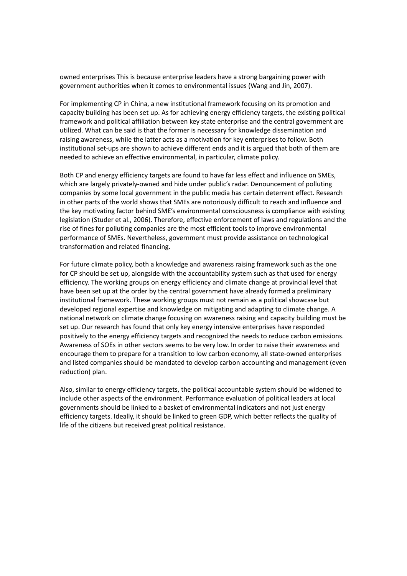owned enterprises This is because enterprise leaders have a strong bargaining power with government authorities when it comes to environmental issues (Wang and Jin, 2007).

For implementing CP in China, a new institutional framework focusing on its promotion and capacity building has been set up. As for achieving energy efficiency targets, the existing political framework and political affiliation between key state enterprise and the central government are utilized. What can be said is that the former is necessary for knowledge dissemination and raising awareness, while the latter acts as a motivation for key enterprises to follow. Both institutional set‐ups are shown to achieve different ends and it is argued that both of them are needed to achieve an effective environmental, in particular, climate policy.

Both CP and energy efficiency targets are found to have far less effect and influence on SMEs, which are largely privately‐owned and hide under public's radar. Denouncement of polluting companies by some local government in the public media has certain deterrent effect. Research in other parts of the world shows that SMEs are notoriously difficult to reach and influence and the key motivating factor behind SME's environmental consciousness is compliance with existing legislation (Studer et al., 2006). Therefore, effective enforcement of laws and regulations and the rise of fines for polluting companies are the most efficient tools to improve environmental performance of SMEs. Nevertheless, government must provide assistance on technological transformation and related financing.

For future climate policy, both a knowledge and awareness raising framework such as the one for CP should be set up, alongside with the accountability system such as that used for energy efficiency. The working groups on energy efficiency and climate change at provincial level that have been set up at the order by the central government have already formed a preliminary institutional framework. These working groups must not remain as a political showcase but developed regional expertise and knowledge on mitigating and adapting to climate change. A national network on climate change focusing on awareness raising and capacity building must be set up. Our research has found that only key energy intensive enterprises have responded positively to the energy efficiency targets and recognized the needs to reduce carbon emissions. Awareness of SOEs in other sectors seems to be very low. In order to raise their awareness and encourage them to prepare for a transition to low carbon economy, all state-owned enterprises and listed companies should be mandated to develop carbon accounting and management (even reduction) plan.

Also, similar to energy efficiency targets, the political accountable system should be widened to include other aspects of the environment. Performance evaluation of political leaders at local governments should be linked to a basket of environmental indicators and not just energy efficiency targets. Ideally, it should be linked to green GDP, which better reflects the quality of life of the citizens but received great political resistance.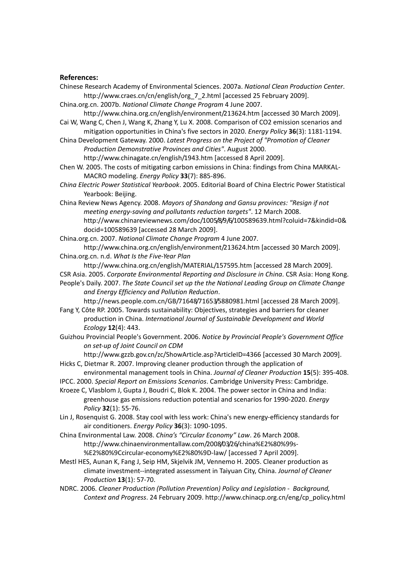### **References:**

- Chinese Research Academy of Environmental Sciences. 2007a. *National Clean Production Center*. http://www.craes.cn/cn/english/org\_7\_2.html [accessed 25 February 2009].
- China.org.cn. 2007b. *National Climate Change Program* 4 June 2007.

http://www.china.org.cn/english/environment/213624.htm [accessed 30 March 2009]. Cai W, Wang C, Chen J, Wang K, Zhang Y, Lu X. 2008. Comparison of CO2 emission scenarios and

mitigation opportunities in China's five sectors in 2020. *Energy Policy* **36**(3): 1181‐1194.

China Development Gateway. 2000. *Latest Progress on the Project of "Promotion of Cleaner Production Demonstrative Provinces and Cities"*. August 2000. http://www.chinagate.cn/english/1943.htm [accessed 8 April 2009].

Chen W. 2005. The costs of mitigating carbon emissions in China: findings from China MARKAL‐ MACRO modeling. *Energy Policy* **33**(7): 885‐896.

*China Electric Power Statistical Yearbook*. 2005. Editorial Board of China Electric Power Statistical Yearbook: Beijing.

China Review News Agency. 2008. *Mayors of Shandong and Gansu provinces: "Resign if not meeting energy‐saving and pollutants reduction targets"*. 12 March 2008. http://www.chinareviewnews.com/doc/1005/8/9/6/100589639.html?coluid=7&kindid=0& docid=100589639 [accessed 28 March 2009].

China.org.cn. 2007. *National Climate Change Program* 4 June 2007.

http://www.china.org.cn/english/environment/213624.htm [accessed 30 March 2009]. China.org.cn. n.d. *What Is the Five‐Year Plan*

http://www.china.org.cn/english/MATERIAL/157595.htm [accessed 28 March 2009]. CSR Asia. 2005. *Corporate Environmental Reporting and Disclosure in China*. CSR Asia: Hong Kong.

People's Daily. 2007. *The State Council set up the the National Leading Group on Climate Change and Energy Efficiency and Pollution Reduction*.

http://news.people.com.cn/GB/71648/71653/5880981.html [accessed 28 March 2009]. Fang Y, Côte RP. 2005. Towards sustainability: Objectives, strategies and barriers for cleaner

production in China. *International Journal of Sustainable Development and World Ecology* **12**(4): 443.

Guizhou Provincial People's Government. 2006. *Notice by Provincial People's Government Office on set‐up of Joint Council on CDM* 

http://www.gzzb.gov.cn/zc/ShowArticle.asp?ArticleID=4366 [accessed 30 March 2009].

Hicks C, Dietmar R. 2007. Improving cleaner production through the application of environmental management tools in China. *Journal of Cleaner Production* **15**(5): 395‐408.

IPCC. 2000. *Special Report on Emissions Scenarios*. Cambridge University Press: Cambridge.

Kroeze C, Vlasblom J, Gupta J, Boudri C, Blok K. 2004. The power sector in China and India: greenhouse gas emissions reduction potential and scenarios for 1990‐2020. *Energy Policy* **32**(1): 55‐76.

Lin J, Rosenquist G. 2008. Stay cool with less work: China's new energy‐efficiency standards for air conditioners. *Energy Policy* **36**(3): 1090‐1095.

China Environmental Law. 2008. *China's "Circular Economy" Law*. 26 March 2008. http://www.chinaenvironmentallaw.com/2008/03/26/china%E2%80%99s‐ %E2%80%9Ccircular‐economy%E2%80%9D‐law/ [accessed 7 April 2009].

Mestl HES, Aunan K, Fang J, Seip HM, Skjelvik JM, Vennemo H. 2005. Cleaner production as climate investment‐‐integrated assessment in Taiyuan City, China. *Journal of Cleaner Production* **13**(1): 57‐70.

NDRC. 2006. *Cleaner Production (Pollution Prevention) Policy and Legislation ‐ Background, Context and Progress*. 24 February 2009. http://www.chinacp.org.cn/eng/cp\_policy.html